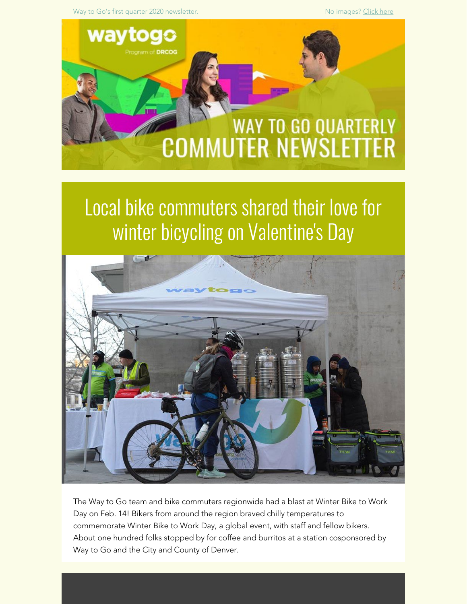Way to Go's first quarter 2020 newsletter. No images? [Click here](https://drcog.createsend1.com/t/d-e-mehyjt-l-ji/) with the Most of the Most of the Most of the Most of the Most of the Most of the Most of the Most of the Most of the Most of the Most of the Most of the Most



## Local bike commuters shared their love for winter bicycling on Valentine's Day



The Way to Go team and bike commuters regionwide had a blast at Winter Bike to Work Day on Feb. 14! Bikers from around the region braved chilly temperatures to commemorate Winter Bike to Work Day, a global event, with staff and fellow bikers. About one hundred folks stopped by for coffee and burritos at a station cosponsored by Way to Go and the City and County of Denver.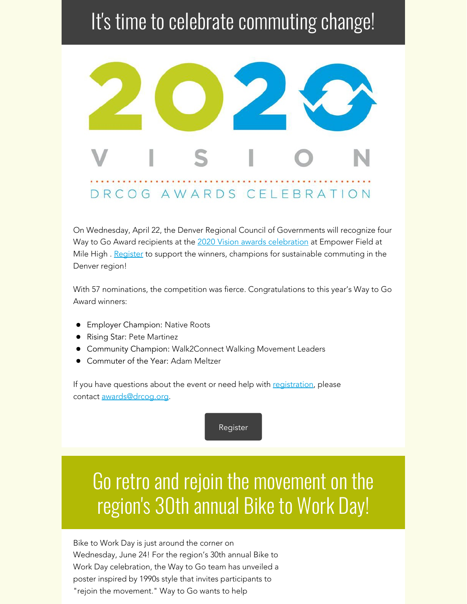## It's time to celebrate commuting change!



On Wednesday, April 22, the Denver Regional Council of Governments will recognize four Way to Go Award recipients at the [2020 Vision awards celebration](https://drcog.createsend1.com/t/d-l-mehyjt-l-y/) at Empower Field at Mile High . [Register](https://drcog.createsend1.com/t/d-l-mehyjt-l-j/) to support the winners, champions for sustainable commuting in the Denver region!

With 57 nominations, the competition was fierce. Congratulations to this year's Way to Go Award winners:

- **•** Employer Champion: Native Roots
- **•** Rising Star: Pete Martinez
- Community Champion: Walk2Connect Walking Movement Leaders
- Commuter of the Year: Adam Meltzer

If you have questions about the event or need help with [registration](https://drcog.createsend1.com/t/d-l-mehyjt-l-t/), please contact [awards@drcog.org](mailto:awards@drcog.org).

[Register](https://drcog.createsend1.com/t/d-l-mehyjt-l-i/)

# Go retro and rejoin the movement on the region's 30th annual Bike to Work Day!

Bike to Work Day is just around the corner on Wednesday, June 24! For the region's 30th annual Bike to Work Day celebration, the Way to Go team has unveiled a poster inspired by 1990s style that invites participants to "rejoin the movement." Way to Go wants to help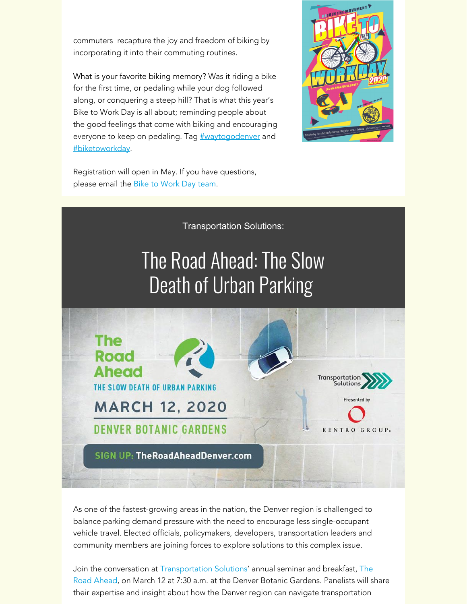commuters recapture the joy and freedom of biking by incorporating it into their commuting routines.

What is your favorite biking memory? Was it riding a bike for the first time, or pedaling while your dog followed along, or conquering a steep hill? That is what this year's Bike to Work Day is all about; reminding people about the good feelings that come with biking and encouraging everyone to keep on pedaling. Tag **[#waytogodenver](https://drcog.createsend1.com/t/d-l-mehyjt-l-d/)** and [#biketoworkday](https://drcog.createsend1.com/t/d-l-mehyjt-l-h/).



Registration will open in May. If you have questions, please email the **[Bike to Work Day team](mailto:btwd@drcog.org)**.



As one of the fastest-growing areas in the nation, the Denver region is challenged to balance parking demand pressure with the need to encourage less single-occupant vehicle travel. Elected officials, policymakers, developers, transportation leaders and community members are joining forces to explore solutions to this complex issue.

Join the conversation at **[Transportation Solutions](https://drcog.createsend1.com/t/d-l-mehyjt-l-k/)'** annual seminar and breakfast, [The](https://drcog.createsend1.com/t/d-l-mehyjt-l-u/) [Road Ahead](https://drcog.createsend1.com/t/d-l-mehyjt-l-u/), on March 12 at 7:30 a.m. at the Denver Botanic Gardens. Panelists will share their expertise and insight about how the Denver region can navigate transportation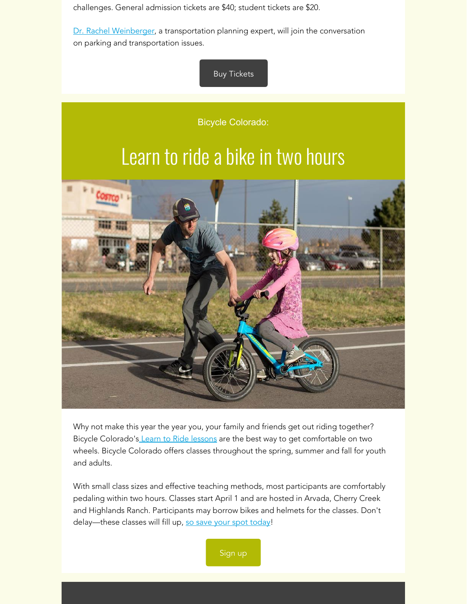challenges. General admission tickets are \$40; student tickets are \$20.

[Dr. Rachel Weinberger](https://drcog.createsend1.com/t/d-l-mehyjt-l-o/), a transportation planning expert, will join the conversation on parking and transportation issues.

### [Buy Tickets](https://drcog.createsend1.com/t/d-l-mehyjt-l-b/)

Bicycle Colorado:

## Learn to ride a bike in two hours



Why not make this year the year you, your family and friends get out riding together? Bicycle Colorado's [Learn to Ride lessons](https://drcog.createsend1.com/t/d-l-mehyjt-l-n/) are the best way to get comfortable on two wheels. Bicycle Colorado offers classes throughout the spring, summer and fall for youth and adults.

With small class sizes and effective teaching methods, most participants are comfortably pedaling within two hours. Classes start April 1 and are hosted in Arvada, Cherry Creek and Highlands Ranch. Participants may borrow bikes and helmets for the classes. Don't delay—these classes will fill up, [so save your spot](https://drcog.createsend1.com/t/d-l-mehyjt-l-m/) [today](https://drcog.createsend1.com/t/d-l-mehyjt-l-c/)!

[Sign up](https://drcog.createsend1.com/t/d-l-mehyjt-l-q/)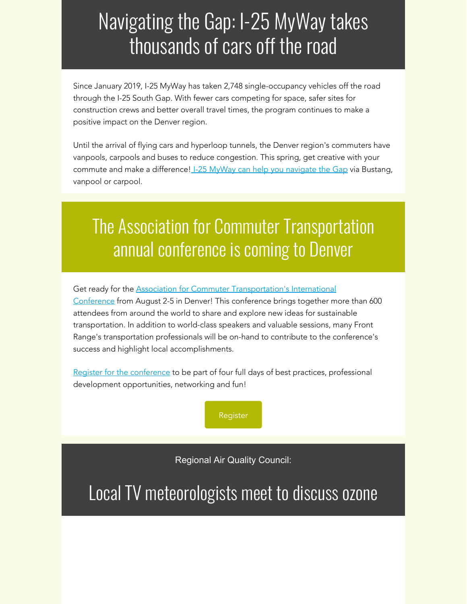## Navigating the Gap: I-25 MyWay takes thousands of cars off the road

Since January 2019, I-25 MyWay has taken 2,748 single-occupancy vehicles off the road through the I-25 South Gap. With fewer cars competing for space, safer sites for construction crews and better overall travel times, the program continues to make a positive impact on the Denver region.

Until the arrival of flying cars and hyperloop tunnels, the Denver region's commuters have vanpools, carpools and buses to reduce congestion. This spring, get creative with your commute and make a difference! [I-25 MyWay can help you](https://drcog.createsend1.com/t/d-l-mehyjt-l-a/) navigate the Gap via Bustang, vanpool or carpool.

## The Association for Commuter Transportation annual conference is coming to Denver

Get ready for the **[Association for Commuter Transportation's](https://drcog.createsend1.com/t/d-l-mehyjt-l-z/) International** [Conference](https://drcog.createsend1.com/t/d-l-mehyjt-l-z/) from August 2-5 in Denver! This conference brings together more than 600 attendees from around the world to share and explore new ideas for sustainable transportation. In addition to world-class speakers and valuable sessions, many Front Range's transportation professionals will be on-hand to contribute to the conference's success and highlight local accomplishments.

[Register for the conference](https://drcog.createsend1.com/t/d-l-mehyjt-l-v/) to be part of four full days of best practices, professional development opportunities, networking and fun!



Regional Air Quality Council:

Local TV meteorologists meet to discuss ozone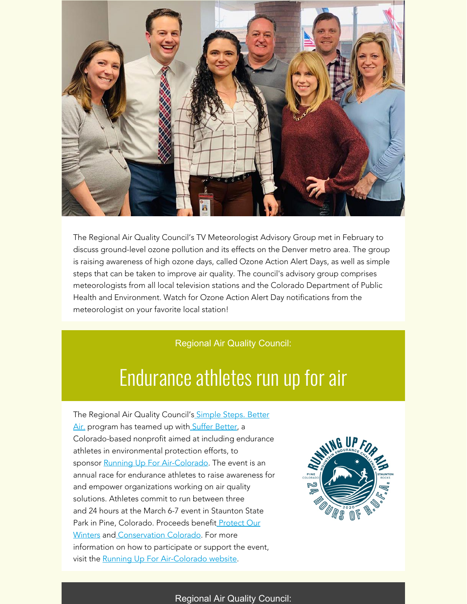

The Regional Air Quality Council's TV Meteorologist Advisory Group met in February to discuss ground-level ozone pollution and its effects on the Denver metro area. The group is raising awareness of high ozone days, called Ozone Action Alert Days, as well as simple steps that can be taken to improve air quality. The council's advisory group comprises meteorologists from all local television stations and the Colorado Department of Public Health and Environment. Watch for Ozone Action Alert Day notifications from the meteorologist on your favorite local station!

#### Regional Air Quality Council:

### Endurance athletes run up for air

The Regional Air Quality Council'[s](https://drcog.createsend1.com/t/d-l-mehyjt-l-s/) [Simple Steps. Better](https://drcog.createsend1.com/t/d-l-mehyjt-l-s/) [Air](https://drcog.createsend1.com/t/d-l-mehyjt-l-s/)[.](https://drcog.createsend1.com/t/d-l-mehyjt-l-s/) program [h](https://drcog.createsend1.com/t/d-l-mehyjt-l-g/)as teamed up with [Suffer Better](https://drcog.createsend1.com/t/d-l-mehyjt-l-g/), a Colorado-based nonprofit aimed at including endurance athletes in environmental protection efforts, to sponsor [Running Up For Air-Colorado](https://drcog.createsend1.com/t/d-l-mehyjt-l-w/). The event is an annual race for endurance athletes to raise awareness for and empower organizations working on air quality solutions. Athletes commit to run between three and 24 hours at the March 6-7 event in Staunton State Park in Pine, Colorado. Proceeds benefi[t](https://drcog.createsend1.com/t/d-l-mehyjt-l-yd/) [Protect Our](https://drcog.createsend1.com/t/d-l-mehyjt-l-yd/) [Winters](https://drcog.createsend1.com/t/d-l-mehyjt-l-yd/) and [Conservation Colorado](https://drcog.createsend1.com/t/d-l-mehyjt-l-yh/). For more information on how to participate or support the event, visit the [Running Up For Air-Colorado website](https://drcog.createsend1.com/t/d-l-mehyjt-l-yk/).



#### Regional Air Quality Council: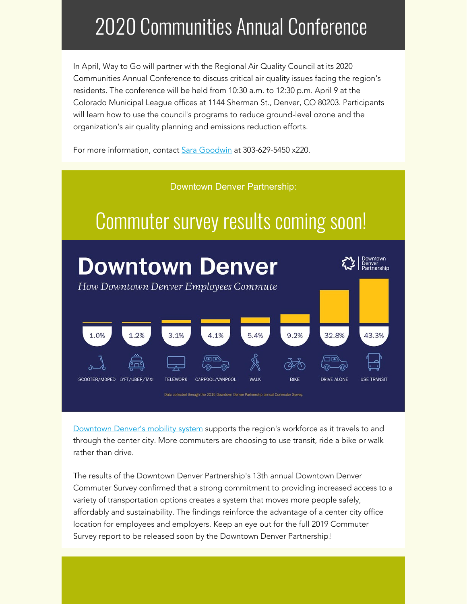# 2020 Communities Annual Conference

In April, Way to Go will partner with the Regional Air Quality Council at its 2020 Communities Annual Conference to discuss critical air quality issues facing the region's residents. The conference will be held from 10:30 a.m. to 12:30 p.m. April 9 at the Colorado Municipal League offices at 1144 Sherman St., Denver, CO 80203. Participants will learn how to use the council's programs to reduce ground-level ozone and the organization's air quality planning and emissions reduction efforts.

For more information, contact [Sara Goodwin](mailto:sgoodwin@raqc.org) at 303-629-5450 x220.



[Downtown Denver's mobility system](https://drcog.createsend1.com/t/d-l-mehyjt-l-yu/) supports the region's workforce as it travels to and through the center city. More commuters are choosing to use transit, ride a bike or walk rather than drive.

The results of the Downtown Denver Partnership's 13th annual Downtown Denver Commuter Survey confirmed that a strong commitment to providing increased access to a variety of transportation options creates a system that moves more people safely, affordably and sustainability. The findings reinforce the advantage of a center city office location for employees and employers. Keep an eye out for the full 2019 Commuter Survey report to be released soon by the Downtown Denver Partnership!